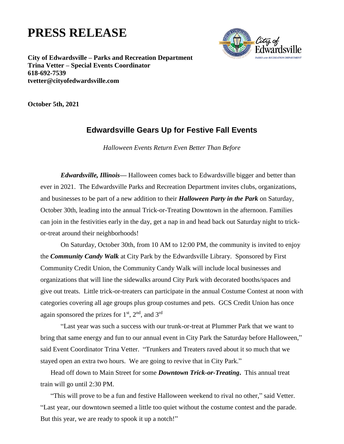## **PRESS RELEASE**



**City of Edwardsville – Parks and Recreation Department Trina Vetter – Special Events Coordinator 618-692-7539 tvetter@cityofedwardsville.com**

**October 5th, 2021**

## **Edwardsville Gears Up for Festive Fall Events**

*Halloween Events Return Even Better Than Before*

*Edwardsville, Illinois—* Halloween comes back to Edwardsville bigger and better than ever in 2021.The Edwardsville Parks and Recreation Department invites clubs, organizations, and businesses to be part of a new addition to their *Halloween Party in the Park* on Saturday, October 30th, leading into the annual Trick-or-Treating Downtown in the afternoon. Families can join in the festivities early in the day, get a nap in and head back out Saturday night to trickor-treat around their neighborhoods!

On Saturday, October 30th, from 10 AM to 12:00 PM, the community is invited to enjoy the *Community Candy Walk* at City Park by the Edwardsville Library. Sponsored by First Community Credit Union, the Community Candy Walk will include local businesses and organizations that will line the sidewalks around City Park with decorated booths/spaces and give out treats. Little trick-or-treaters can participate in the annual Costume Contest at noon with categories covering all age groups plus group costumes and pets. GCS Credit Union has once again sponsored the prizes for  $1<sup>st</sup>$ ,  $2<sup>nd</sup>$ , and  $3<sup>rd</sup>$ 

"Last year was such a success with our trunk-or-treat at Plummer Park that we want to bring that same energy and fun to our annual event in City Park the Saturday before Halloween," said Event Coordinator Trina Vetter. "Trunkers and Treaters raved about it so much that we stayed open an extra two hours. We are going to revive that in City Park."

Head off down to Main Street for some *Downtown Trick-or-Treating***.** This annual treat train will go until 2:30 PM.

"This will prove to be a fun and festive Halloween weekend to rival no other," said Vetter. "Last year, our downtown seemed a little too quiet without the costume contest and the parade. But this year, we are ready to spook it up a notch!"